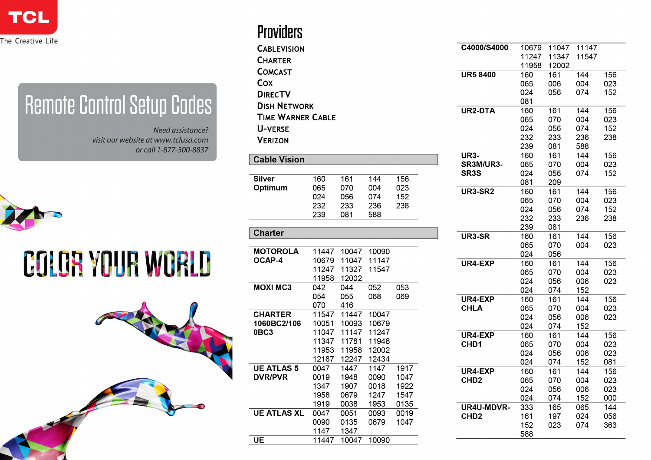

## **Remote Control Setup Codes**

Need assistance? visit our website at www.tclusa.com or call 1-877-300-8837



## **COLOR YOUR WORLD**



## **Providers**

 $U$ E

11447 10047 10090

| 11247<br>11347<br>11547<br><b>CHARTER</b><br>11958<br>12002<br><b>COMCAST</b><br><b>UR5 8400</b><br>160<br>161<br>144<br>156<br>Cox<br>065<br>006<br>004<br>023<br>024<br>056<br>074<br>152<br><b>DIRECTV</b><br>081<br><b>DISH NETWORK</b><br><b>UR2-DTA</b><br>160<br>161<br>144<br>156<br><b>TIME WARNER CABLE</b><br>065<br>070<br>004<br>023<br>024<br>056<br>074<br>152<br><b>U-VERSE</b><br>232<br>233<br>236<br>238<br><b>VERIZON</b><br>239<br>081<br>588<br>160<br><b>UR3-</b><br>161<br>144<br>156<br><b>Cable Vision</b><br>SR3M/UR3-<br>065<br>004<br>023<br>070<br>SR <sub>3</sub> S<br>024<br>056<br>152<br>074<br><b>Silver</b><br>144<br>156<br>160<br>161<br>081<br>209<br>Optimum<br>065<br>070<br>004<br>023<br><b>UR3-SR2</b><br>160<br>161<br>144<br>156<br>024<br>152<br>056<br>074<br>065<br>004<br>023<br>070<br>232<br>233<br>236<br>238<br>024<br>056<br>074<br>152<br>239<br>081<br>588<br>232<br>236<br>238<br>233<br>239<br>081<br><b>Charter</b><br>UR3-SR<br>160<br>161<br>144<br>004<br>023<br>065<br>070<br><b>MOTOROLA</b><br>10090<br>11447<br>10047<br>024<br>056<br>OCAP-4<br>10679<br>11047<br>11147<br>UR4-EXP<br>160<br>156<br>161<br>144<br>11247<br>11327<br>11547<br>065<br>070<br>004<br>023<br>11958<br>12002<br>024<br>056<br>006<br>023<br><b>MOXI MC3</b><br>042<br>052<br>053<br>044<br>024<br>074<br>152<br>054<br>055<br>068<br>069<br>UR4-EXP<br>160<br>144<br>156<br>161<br>070<br>416<br><b>CHLA</b><br>065<br>070<br>004<br>023<br><b>CHARTER</b><br>11547<br>11447<br>10047<br>024<br>056<br>023<br>006<br>1060BC2/106<br>10051<br>10093<br>10679<br>024<br>074<br>152<br>11047<br>11247<br>0BC3<br>11147<br>UR4-EXP<br>160<br>161<br>144<br>156<br>11347<br>11781<br>11948<br>CHD1<br>065<br>070<br>004<br>023<br>11953<br>11958<br>12002<br>024<br>023<br>056<br>006<br>12187<br>12247<br>12434<br>024<br>074<br>081<br>152<br><b>UE ATLAS 5</b><br>0047<br>1447<br>1147<br>1917<br>UR4-EXP<br>160<br>144<br>156<br>161<br><b>DVR/PVR</b><br>0090<br>0019<br>1948<br>1047<br>CHD <sub>2</sub><br>065<br>070<br>004<br>023<br>1347<br>1907<br>0018<br>1922<br>024<br>056<br>006<br>023<br>1958<br>0679<br>1247<br>1547<br>024<br>074<br>152<br>000<br>1919<br>0038<br>1953<br>0135<br>UR4U-MDVR-<br>333<br>065<br>144<br>165<br><b>UE ATLAS XL</b><br>0047<br>0051<br>0093<br>0019<br>CHD <sub>2</sub><br>161<br>056<br>197<br>024<br>0090<br>0135<br>0679<br>1047<br>152<br>023<br>074<br>363<br>1147<br>1347 | <b>CABLEVISION</b> |  |  | C4000/S4000 | 10679 | 11047 | 11147 |  |
|--------------------------------------------------------------------------------------------------------------------------------------------------------------------------------------------------------------------------------------------------------------------------------------------------------------------------------------------------------------------------------------------------------------------------------------------------------------------------------------------------------------------------------------------------------------------------------------------------------------------------------------------------------------------------------------------------------------------------------------------------------------------------------------------------------------------------------------------------------------------------------------------------------------------------------------------------------------------------------------------------------------------------------------------------------------------------------------------------------------------------------------------------------------------------------------------------------------------------------------------------------------------------------------------------------------------------------------------------------------------------------------------------------------------------------------------------------------------------------------------------------------------------------------------------------------------------------------------------------------------------------------------------------------------------------------------------------------------------------------------------------------------------------------------------------------------------------------------------------------------------------------------------------------------------------------------------------------------------------------------------------------------------------------------------------------------------------------------------------------------------------------------------------------------------------------------------------------------------------------------------------------------------------------------------------------------------------------------------------------------------------------------------------------------------------------------------------------------------|--------------------|--|--|-------------|-------|-------|-------|--|
|                                                                                                                                                                                                                                                                                                                                                                                                                                                                                                                                                                                                                                                                                                                                                                                                                                                                                                                                                                                                                                                                                                                                                                                                                                                                                                                                                                                                                                                                                                                                                                                                                                                                                                                                                                                                                                                                                                                                                                                                                                                                                                                                                                                                                                                                                                                                                                                                                                                                          |                    |  |  |             |       |       |       |  |
|                                                                                                                                                                                                                                                                                                                                                                                                                                                                                                                                                                                                                                                                                                                                                                                                                                                                                                                                                                                                                                                                                                                                                                                                                                                                                                                                                                                                                                                                                                                                                                                                                                                                                                                                                                                                                                                                                                                                                                                                                                                                                                                                                                                                                                                                                                                                                                                                                                                                          |                    |  |  |             |       |       |       |  |
|                                                                                                                                                                                                                                                                                                                                                                                                                                                                                                                                                                                                                                                                                                                                                                                                                                                                                                                                                                                                                                                                                                                                                                                                                                                                                                                                                                                                                                                                                                                                                                                                                                                                                                                                                                                                                                                                                                                                                                                                                                                                                                                                                                                                                                                                                                                                                                                                                                                                          |                    |  |  |             |       |       |       |  |
|                                                                                                                                                                                                                                                                                                                                                                                                                                                                                                                                                                                                                                                                                                                                                                                                                                                                                                                                                                                                                                                                                                                                                                                                                                                                                                                                                                                                                                                                                                                                                                                                                                                                                                                                                                                                                                                                                                                                                                                                                                                                                                                                                                                                                                                                                                                                                                                                                                                                          |                    |  |  |             |       |       |       |  |
|                                                                                                                                                                                                                                                                                                                                                                                                                                                                                                                                                                                                                                                                                                                                                                                                                                                                                                                                                                                                                                                                                                                                                                                                                                                                                                                                                                                                                                                                                                                                                                                                                                                                                                                                                                                                                                                                                                                                                                                                                                                                                                                                                                                                                                                                                                                                                                                                                                                                          |                    |  |  |             |       |       |       |  |
|                                                                                                                                                                                                                                                                                                                                                                                                                                                                                                                                                                                                                                                                                                                                                                                                                                                                                                                                                                                                                                                                                                                                                                                                                                                                                                                                                                                                                                                                                                                                                                                                                                                                                                                                                                                                                                                                                                                                                                                                                                                                                                                                                                                                                                                                                                                                                                                                                                                                          |                    |  |  |             |       |       |       |  |
|                                                                                                                                                                                                                                                                                                                                                                                                                                                                                                                                                                                                                                                                                                                                                                                                                                                                                                                                                                                                                                                                                                                                                                                                                                                                                                                                                                                                                                                                                                                                                                                                                                                                                                                                                                                                                                                                                                                                                                                                                                                                                                                                                                                                                                                                                                                                                                                                                                                                          |                    |  |  |             |       |       |       |  |
|                                                                                                                                                                                                                                                                                                                                                                                                                                                                                                                                                                                                                                                                                                                                                                                                                                                                                                                                                                                                                                                                                                                                                                                                                                                                                                                                                                                                                                                                                                                                                                                                                                                                                                                                                                                                                                                                                                                                                                                                                                                                                                                                                                                                                                                                                                                                                                                                                                                                          |                    |  |  |             |       |       |       |  |
|                                                                                                                                                                                                                                                                                                                                                                                                                                                                                                                                                                                                                                                                                                                                                                                                                                                                                                                                                                                                                                                                                                                                                                                                                                                                                                                                                                                                                                                                                                                                                                                                                                                                                                                                                                                                                                                                                                                                                                                                                                                                                                                                                                                                                                                                                                                                                                                                                                                                          |                    |  |  |             |       |       |       |  |
|                                                                                                                                                                                                                                                                                                                                                                                                                                                                                                                                                                                                                                                                                                                                                                                                                                                                                                                                                                                                                                                                                                                                                                                                                                                                                                                                                                                                                                                                                                                                                                                                                                                                                                                                                                                                                                                                                                                                                                                                                                                                                                                                                                                                                                                                                                                                                                                                                                                                          |                    |  |  |             |       |       |       |  |
|                                                                                                                                                                                                                                                                                                                                                                                                                                                                                                                                                                                                                                                                                                                                                                                                                                                                                                                                                                                                                                                                                                                                                                                                                                                                                                                                                                                                                                                                                                                                                                                                                                                                                                                                                                                                                                                                                                                                                                                                                                                                                                                                                                                                                                                                                                                                                                                                                                                                          |                    |  |  |             |       |       |       |  |
| 156                                                                                                                                                                                                                                                                                                                                                                                                                                                                                                                                                                                                                                                                                                                                                                                                                                                                                                                                                                                                                                                                                                                                                                                                                                                                                                                                                                                                                                                                                                                                                                                                                                                                                                                                                                                                                                                                                                                                                                                                                                                                                                                                                                                                                                                                                                                                                                                                                                                                      |                    |  |  |             |       |       |       |  |
|                                                                                                                                                                                                                                                                                                                                                                                                                                                                                                                                                                                                                                                                                                                                                                                                                                                                                                                                                                                                                                                                                                                                                                                                                                                                                                                                                                                                                                                                                                                                                                                                                                                                                                                                                                                                                                                                                                                                                                                                                                                                                                                                                                                                                                                                                                                                                                                                                                                                          |                    |  |  |             |       |       |       |  |
|                                                                                                                                                                                                                                                                                                                                                                                                                                                                                                                                                                                                                                                                                                                                                                                                                                                                                                                                                                                                                                                                                                                                                                                                                                                                                                                                                                                                                                                                                                                                                                                                                                                                                                                                                                                                                                                                                                                                                                                                                                                                                                                                                                                                                                                                                                                                                                                                                                                                          |                    |  |  |             |       |       |       |  |
|                                                                                                                                                                                                                                                                                                                                                                                                                                                                                                                                                                                                                                                                                                                                                                                                                                                                                                                                                                                                                                                                                                                                                                                                                                                                                                                                                                                                                                                                                                                                                                                                                                                                                                                                                                                                                                                                                                                                                                                                                                                                                                                                                                                                                                                                                                                                                                                                                                                                          |                    |  |  |             |       |       |       |  |
|                                                                                                                                                                                                                                                                                                                                                                                                                                                                                                                                                                                                                                                                                                                                                                                                                                                                                                                                                                                                                                                                                                                                                                                                                                                                                                                                                                                                                                                                                                                                                                                                                                                                                                                                                                                                                                                                                                                                                                                                                                                                                                                                                                                                                                                                                                                                                                                                                                                                          |                    |  |  |             |       |       |       |  |
|                                                                                                                                                                                                                                                                                                                                                                                                                                                                                                                                                                                                                                                                                                                                                                                                                                                                                                                                                                                                                                                                                                                                                                                                                                                                                                                                                                                                                                                                                                                                                                                                                                                                                                                                                                                                                                                                                                                                                                                                                                                                                                                                                                                                                                                                                                                                                                                                                                                                          |                    |  |  |             |       |       |       |  |
|                                                                                                                                                                                                                                                                                                                                                                                                                                                                                                                                                                                                                                                                                                                                                                                                                                                                                                                                                                                                                                                                                                                                                                                                                                                                                                                                                                                                                                                                                                                                                                                                                                                                                                                                                                                                                                                                                                                                                                                                                                                                                                                                                                                                                                                                                                                                                                                                                                                                          |                    |  |  |             |       |       |       |  |
|                                                                                                                                                                                                                                                                                                                                                                                                                                                                                                                                                                                                                                                                                                                                                                                                                                                                                                                                                                                                                                                                                                                                                                                                                                                                                                                                                                                                                                                                                                                                                                                                                                                                                                                                                                                                                                                                                                                                                                                                                                                                                                                                                                                                                                                                                                                                                                                                                                                                          |                    |  |  |             |       |       |       |  |
|                                                                                                                                                                                                                                                                                                                                                                                                                                                                                                                                                                                                                                                                                                                                                                                                                                                                                                                                                                                                                                                                                                                                                                                                                                                                                                                                                                                                                                                                                                                                                                                                                                                                                                                                                                                                                                                                                                                                                                                                                                                                                                                                                                                                                                                                                                                                                                                                                                                                          |                    |  |  |             |       |       |       |  |
|                                                                                                                                                                                                                                                                                                                                                                                                                                                                                                                                                                                                                                                                                                                                                                                                                                                                                                                                                                                                                                                                                                                                                                                                                                                                                                                                                                                                                                                                                                                                                                                                                                                                                                                                                                                                                                                                                                                                                                                                                                                                                                                                                                                                                                                                                                                                                                                                                                                                          |                    |  |  |             |       |       |       |  |
|                                                                                                                                                                                                                                                                                                                                                                                                                                                                                                                                                                                                                                                                                                                                                                                                                                                                                                                                                                                                                                                                                                                                                                                                                                                                                                                                                                                                                                                                                                                                                                                                                                                                                                                                                                                                                                                                                                                                                                                                                                                                                                                                                                                                                                                                                                                                                                                                                                                                          |                    |  |  |             |       |       |       |  |
|                                                                                                                                                                                                                                                                                                                                                                                                                                                                                                                                                                                                                                                                                                                                                                                                                                                                                                                                                                                                                                                                                                                                                                                                                                                                                                                                                                                                                                                                                                                                                                                                                                                                                                                                                                                                                                                                                                                                                                                                                                                                                                                                                                                                                                                                                                                                                                                                                                                                          |                    |  |  |             |       |       |       |  |
|                                                                                                                                                                                                                                                                                                                                                                                                                                                                                                                                                                                                                                                                                                                                                                                                                                                                                                                                                                                                                                                                                                                                                                                                                                                                                                                                                                                                                                                                                                                                                                                                                                                                                                                                                                                                                                                                                                                                                                                                                                                                                                                                                                                                                                                                                                                                                                                                                                                                          |                    |  |  |             |       |       |       |  |
|                                                                                                                                                                                                                                                                                                                                                                                                                                                                                                                                                                                                                                                                                                                                                                                                                                                                                                                                                                                                                                                                                                                                                                                                                                                                                                                                                                                                                                                                                                                                                                                                                                                                                                                                                                                                                                                                                                                                                                                                                                                                                                                                                                                                                                                                                                                                                                                                                                                                          |                    |  |  |             |       |       |       |  |
|                                                                                                                                                                                                                                                                                                                                                                                                                                                                                                                                                                                                                                                                                                                                                                                                                                                                                                                                                                                                                                                                                                                                                                                                                                                                                                                                                                                                                                                                                                                                                                                                                                                                                                                                                                                                                                                                                                                                                                                                                                                                                                                                                                                                                                                                                                                                                                                                                                                                          |                    |  |  |             |       |       |       |  |
|                                                                                                                                                                                                                                                                                                                                                                                                                                                                                                                                                                                                                                                                                                                                                                                                                                                                                                                                                                                                                                                                                                                                                                                                                                                                                                                                                                                                                                                                                                                                                                                                                                                                                                                                                                                                                                                                                                                                                                                                                                                                                                                                                                                                                                                                                                                                                                                                                                                                          |                    |  |  |             |       |       |       |  |
|                                                                                                                                                                                                                                                                                                                                                                                                                                                                                                                                                                                                                                                                                                                                                                                                                                                                                                                                                                                                                                                                                                                                                                                                                                                                                                                                                                                                                                                                                                                                                                                                                                                                                                                                                                                                                                                                                                                                                                                                                                                                                                                                                                                                                                                                                                                                                                                                                                                                          |                    |  |  |             |       |       |       |  |
|                                                                                                                                                                                                                                                                                                                                                                                                                                                                                                                                                                                                                                                                                                                                                                                                                                                                                                                                                                                                                                                                                                                                                                                                                                                                                                                                                                                                                                                                                                                                                                                                                                                                                                                                                                                                                                                                                                                                                                                                                                                                                                                                                                                                                                                                                                                                                                                                                                                                          |                    |  |  |             |       |       |       |  |
|                                                                                                                                                                                                                                                                                                                                                                                                                                                                                                                                                                                                                                                                                                                                                                                                                                                                                                                                                                                                                                                                                                                                                                                                                                                                                                                                                                                                                                                                                                                                                                                                                                                                                                                                                                                                                                                                                                                                                                                                                                                                                                                                                                                                                                                                                                                                                                                                                                                                          |                    |  |  |             |       |       |       |  |
|                                                                                                                                                                                                                                                                                                                                                                                                                                                                                                                                                                                                                                                                                                                                                                                                                                                                                                                                                                                                                                                                                                                                                                                                                                                                                                                                                                                                                                                                                                                                                                                                                                                                                                                                                                                                                                                                                                                                                                                                                                                                                                                                                                                                                                                                                                                                                                                                                                                                          |                    |  |  |             |       |       |       |  |
|                                                                                                                                                                                                                                                                                                                                                                                                                                                                                                                                                                                                                                                                                                                                                                                                                                                                                                                                                                                                                                                                                                                                                                                                                                                                                                                                                                                                                                                                                                                                                                                                                                                                                                                                                                                                                                                                                                                                                                                                                                                                                                                                                                                                                                                                                                                                                                                                                                                                          |                    |  |  |             |       |       |       |  |
|                                                                                                                                                                                                                                                                                                                                                                                                                                                                                                                                                                                                                                                                                                                                                                                                                                                                                                                                                                                                                                                                                                                                                                                                                                                                                                                                                                                                                                                                                                                                                                                                                                                                                                                                                                                                                                                                                                                                                                                                                                                                                                                                                                                                                                                                                                                                                                                                                                                                          |                    |  |  |             |       |       |       |  |
|                                                                                                                                                                                                                                                                                                                                                                                                                                                                                                                                                                                                                                                                                                                                                                                                                                                                                                                                                                                                                                                                                                                                                                                                                                                                                                                                                                                                                                                                                                                                                                                                                                                                                                                                                                                                                                                                                                                                                                                                                                                                                                                                                                                                                                                                                                                                                                                                                                                                          |                    |  |  |             |       |       |       |  |
|                                                                                                                                                                                                                                                                                                                                                                                                                                                                                                                                                                                                                                                                                                                                                                                                                                                                                                                                                                                                                                                                                                                                                                                                                                                                                                                                                                                                                                                                                                                                                                                                                                                                                                                                                                                                                                                                                                                                                                                                                                                                                                                                                                                                                                                                                                                                                                                                                                                                          |                    |  |  |             |       |       |       |  |
|                                                                                                                                                                                                                                                                                                                                                                                                                                                                                                                                                                                                                                                                                                                                                                                                                                                                                                                                                                                                                                                                                                                                                                                                                                                                                                                                                                                                                                                                                                                                                                                                                                                                                                                                                                                                                                                                                                                                                                                                                                                                                                                                                                                                                                                                                                                                                                                                                                                                          |                    |  |  |             |       |       |       |  |
|                                                                                                                                                                                                                                                                                                                                                                                                                                                                                                                                                                                                                                                                                                                                                                                                                                                                                                                                                                                                                                                                                                                                                                                                                                                                                                                                                                                                                                                                                                                                                                                                                                                                                                                                                                                                                                                                                                                                                                                                                                                                                                                                                                                                                                                                                                                                                                                                                                                                          |                    |  |  |             |       |       |       |  |
|                                                                                                                                                                                                                                                                                                                                                                                                                                                                                                                                                                                                                                                                                                                                                                                                                                                                                                                                                                                                                                                                                                                                                                                                                                                                                                                                                                                                                                                                                                                                                                                                                                                                                                                                                                                                                                                                                                                                                                                                                                                                                                                                                                                                                                                                                                                                                                                                                                                                          |                    |  |  |             |       |       |       |  |
|                                                                                                                                                                                                                                                                                                                                                                                                                                                                                                                                                                                                                                                                                                                                                                                                                                                                                                                                                                                                                                                                                                                                                                                                                                                                                                                                                                                                                                                                                                                                                                                                                                                                                                                                                                                                                                                                                                                                                                                                                                                                                                                                                                                                                                                                                                                                                                                                                                                                          |                    |  |  |             |       |       |       |  |
|                                                                                                                                                                                                                                                                                                                                                                                                                                                                                                                                                                                                                                                                                                                                                                                                                                                                                                                                                                                                                                                                                                                                                                                                                                                                                                                                                                                                                                                                                                                                                                                                                                                                                                                                                                                                                                                                                                                                                                                                                                                                                                                                                                                                                                                                                                                                                                                                                                                                          |                    |  |  |             |       |       |       |  |
|                                                                                                                                                                                                                                                                                                                                                                                                                                                                                                                                                                                                                                                                                                                                                                                                                                                                                                                                                                                                                                                                                                                                                                                                                                                                                                                                                                                                                                                                                                                                                                                                                                                                                                                                                                                                                                                                                                                                                                                                                                                                                                                                                                                                                                                                                                                                                                                                                                                                          |                    |  |  |             | 588   |       |       |  |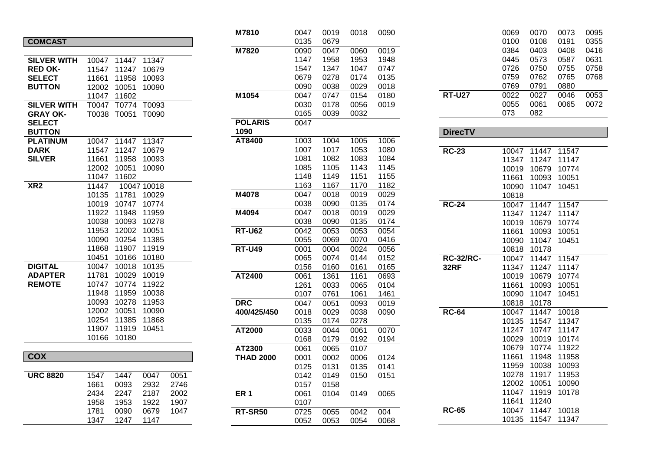| <b>COMCAST</b>     |       |       |       |      |
|--------------------|-------|-------|-------|------|
|                    |       |       |       |      |
| <b>SILVER WITH</b> | 10047 | 11447 | 11347 |      |
| <b>RED OK-</b>     | 11547 | 11247 | 10679 |      |
| <b>SELECT</b>      | 11661 | 11958 | 10093 |      |
| <b>BUTTON</b>      | 12002 | 10051 | 10090 |      |
|                    | 11047 | 11602 |       |      |
| <b>SILVER WITH</b> | T0047 | T0774 | T0093 |      |
| <b>GRAY OK-</b>    | T0038 | T0051 | T0090 |      |
| <b>SELECT</b>      |       |       |       |      |
| <b>BUTTON</b>      |       |       |       |      |
| <b>PLATINUM</b>    | 10047 | 11447 | 11347 |      |
| <b>DARK</b>        | 11547 | 11247 | 10679 |      |
| <b>SILVER</b>      | 11661 | 11958 | 10093 |      |
|                    | 12002 | 10051 | 10090 |      |
|                    | 11047 | 11602 |       |      |
| X <sub>R2</sub>    | 11447 | 10047 | 10018 |      |
|                    | 10135 | 11781 | 10029 |      |
|                    | 10019 | 10747 | 10774 |      |
|                    | 11922 | 11948 | 11959 |      |
|                    | 10038 | 10093 | 10278 |      |
|                    | 11953 | 12002 | 10051 |      |
|                    | 10090 | 10254 | 11385 |      |
|                    | 11868 | 11907 | 11919 |      |
|                    | 10451 | 10166 | 10180 |      |
| <b>DIGITAL</b>     | 10047 | 10018 | 10135 |      |
| <b>ADAPTER</b>     | 11781 | 10029 | 10019 |      |
| <b>REMOTE</b>      | 10747 | 10774 | 11922 |      |
|                    | 11948 | 11959 | 10038 |      |
|                    | 10093 | 10278 | 11953 |      |
|                    | 12002 | 10051 | 10090 |      |
|                    | 10254 | 11385 | 11868 |      |
|                    | 11907 | 11919 | 10451 |      |
|                    | 10166 | 10180 |       |      |
|                    |       |       |       |      |
| <b>COX</b>         |       |       |       |      |
|                    |       |       |       |      |
| <b>URC 8820</b>    | 1547  | 1447  | 0047  | 0051 |
|                    | 1661  | 0093  | 2932  | 2746 |
|                    | 2434  | 2247  | 2187  | 2002 |
|                    | 1958  | 1953  | 1922  | 1907 |
|                    | 1781  | 0090  | 0679  | 1047 |
|                    | 1347  | 1247  | 1147  |      |

| M7810            | 0047 | 0019 | 0018 | 0090 |
|------------------|------|------|------|------|
|                  | 0135 | 0679 |      |      |
| M7820            | 0090 | 0047 | 0060 | 0019 |
|                  | 1147 | 1958 | 1953 | 1948 |
|                  | 1547 | 1347 | 1047 | 0747 |
|                  | 0679 | 0278 | 0174 | 0135 |
|                  | 0090 | 0038 | 0029 | 0018 |
| M1054            | 0047 | 0747 | 0154 | 0180 |
|                  | 0030 | 0178 | 0056 | 0019 |
|                  | 0165 | 0039 | 0032 |      |
| <b>POLARIS</b>   | 0047 |      |      |      |
| 1090             |      |      |      |      |
| AT8400           | 1003 | 1004 | 1005 | 1006 |
|                  | 1007 | 1017 | 1053 | 1080 |
|                  | 1081 | 1082 | 1083 | 1084 |
|                  | 1085 | 1105 | 1143 | 1145 |
|                  | 1148 | 1149 | 1151 | 1155 |
|                  | 1163 | 1167 | 1170 | 1182 |
| M4078            | 0047 | 0018 | 0019 | 0029 |
|                  | 0038 | 0090 | 0135 | 0174 |
| M4094            | 0047 | 0018 | 0019 | 0029 |
|                  | 0038 | 0090 | 0135 | 0174 |
| <b>RT-U62</b>    | 0042 | 0053 | 0053 | 0054 |
|                  | 0055 | 0069 | 0070 | 0416 |
| $RT-U49$         | 0001 | 0004 | 0024 | 0056 |
|                  | 0065 | 0074 | 0144 | 0152 |
|                  | 0156 | 0160 | 0161 | 0165 |
| AT2400           | 0061 | 1361 | 1161 | 0693 |
|                  | 1261 | 0033 | 0065 | 0104 |
|                  | 0107 | 0761 | 1061 | 1461 |
| <b>DRC</b>       | 0047 | 0051 | 0093 | 0019 |
| 400/425/450      | 0018 | 0029 | 0038 | 0090 |
|                  | 0135 | 0174 | 0278 |      |
| AT2000           | 0033 | 0044 | 0061 | 0070 |
|                  | 0168 | 0179 | 0192 | 0194 |
| AT2300           | 0061 | 0065 | 0107 |      |
| <b>THAD 2000</b> | 0001 | 0002 | 0006 | 0124 |
|                  | 0125 | 0131 | 0135 | 0141 |
|                  | 0142 | 0149 | 0150 | 0151 |
|                  | 0157 | 0158 |      |      |
| ER <sub>1</sub>  | 0061 | 0104 | 0149 | 0065 |
|                  | 0107 |      |      |      |
| RT-SR50          | 0725 | 0055 | 0042 | 004  |
|                  | 0052 | 0053 | 0054 | 0068 |

| )90 |               | 0069 | 0070 | 0073 | 0095 |
|-----|---------------|------|------|------|------|
|     |               | 0100 | 0108 | 0191 | 0355 |
| )19 |               | 0384 | 0403 | 0408 | 0416 |
| 948 |               | 0445 | 0573 | 0587 | 0631 |
| 747 |               | 0726 | 0750 | 0755 | 0758 |
| 135 |               | 0759 | 0762 | 0765 | 0768 |
| )18 |               | 0769 | 0791 | 0880 |      |
| 180 | <b>RT-U27</b> | 0022 | 0027 | 0046 | 0053 |
| )19 |               | 0055 | 0061 | 0065 | 0072 |
|     |               | 073  | 082  |      |      |
|     |               |      |      |      |      |

| <b>DirecTV</b>   |       |       |       |
|------------------|-------|-------|-------|
|                  |       |       |       |
| <b>RC-23</b>     | 10047 | 11447 | 11547 |
|                  | 11347 | 11247 | 11147 |
|                  | 10019 | 10679 | 10774 |
|                  | 11661 | 10093 | 10051 |
|                  | 10090 | 11047 | 10451 |
|                  | 10818 |       |       |
| <b>RC-24</b>     | 10047 | 11447 | 11547 |
|                  | 11347 | 11247 | 11147 |
|                  | 10019 | 10679 | 10774 |
|                  | 11661 | 10093 | 10051 |
|                  | 10090 | 11047 | 10451 |
|                  | 10818 | 10178 |       |
| <b>RC-32/RC-</b> | 10047 | 11447 | 11547 |
| <b>32RF</b>      | 11347 | 11247 | 11147 |
|                  | 10019 | 10679 | 10774 |
|                  | 11661 | 10093 | 10051 |
|                  | 10090 | 11047 | 10451 |
|                  | 10818 | 10178 |       |
| <b>RC-64</b>     | 10047 | 11447 | 10018 |
|                  | 10135 | 11547 | 11347 |
|                  | 11247 | 10747 | 11147 |
|                  | 10029 | 10019 | 10174 |
|                  | 10679 | 10774 | 11922 |
|                  | 11661 | 11948 | 11958 |
|                  | 11959 | 10038 | 10093 |
|                  | 10278 | 11917 | 11953 |
|                  | 12002 | 10051 | 10090 |
|                  | 11047 | 11919 | 10178 |
|                  | 11641 | 11240 |       |
| <b>RC-65</b>     | 10047 | 11447 | 10018 |
|                  | 10135 | 11547 | 11347 |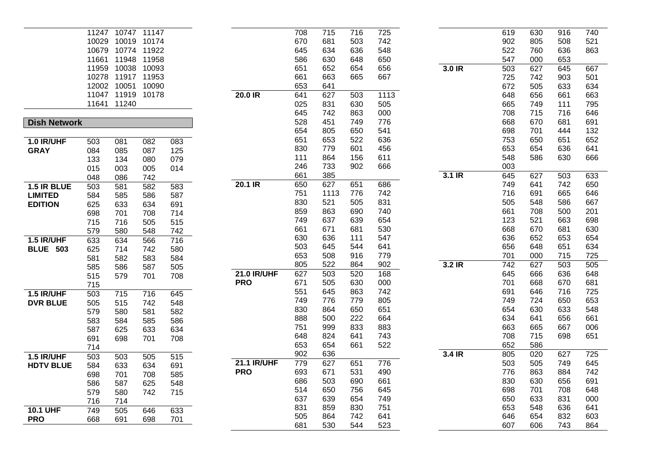|                     |       | 11247 10747 11147 |                  |     |                    | 708 | 715  | 716 | 725  |          | 619 | 630 | 916 | 740 |
|---------------------|-------|-------------------|------------------|-----|--------------------|-----|------|-----|------|----------|-----|-----|-----|-----|
|                     | 10029 | 10019 10174       |                  |     |                    | 670 | 681  | 503 | 742  |          | 902 | 805 | 508 | 521 |
|                     |       | 10679 10774 11922 |                  |     |                    | 645 | 634  | 636 | 548  |          | 522 | 760 | 636 | 863 |
|                     | 11661 | 11948             | 11958            |     |                    | 586 | 630  | 648 | 650  |          | 547 | 000 | 653 |     |
|                     |       | 11959 10038 10093 |                  |     |                    | 651 | 652  | 654 | 656  | $3.0$ IR | 503 | 627 | 645 | 667 |
|                     |       | 10278 11917 11953 |                  |     |                    | 661 | 663  | 665 | 667  |          | 725 | 742 | 903 | 501 |
|                     |       | 12002 10051 10090 |                  |     |                    | 653 | 641  |     |      |          | 672 | 505 | 633 | 634 |
|                     |       | 11047 11919 10178 |                  |     | $20.0$ IR          | 641 | 627  | 503 | 1113 |          | 648 | 656 | 661 | 663 |
|                     |       | 11641 11240       |                  |     |                    | 025 | 831  | 630 | 505  |          | 665 | 749 | 111 | 795 |
|                     |       |                   |                  |     |                    | 645 | 742  | 863 | 000  |          | 708 | 715 | 716 | 646 |
| <b>Dish Network</b> |       |                   |                  |     |                    | 528 | 451  | 749 | 776  |          | 668 | 670 | 681 | 691 |
|                     |       |                   |                  |     |                    | 654 | 805  | 650 | 541  |          | 698 | 701 | 444 | 132 |
| <b>1.0 IR/UHF</b>   | 503   | 081               | 082              | 083 |                    | 651 | 653  | 522 | 636  |          | 753 | 650 | 651 | 652 |
| <b>GRAY</b>         | 084   | 085               | 087              | 125 |                    | 830 | 779  | 601 | 456  |          | 653 | 654 | 636 | 641 |
|                     | 133   | 134               | 080              | 079 |                    | 111 | 864  | 156 | 611  |          | 548 | 586 | 630 | 666 |
|                     | 015   | 003               | 005              | 014 |                    | 246 | 733  | 902 | 666  |          | 003 |     |     |     |
|                     | 048   | 086               | 742              |     |                    | 661 | 385  |     |      | $3.1$ IR | 645 | 627 | 503 | 633 |
| 1.5 IR BLUE         | 503   | 581               | 582              | 583 | 20.1 IR            | 650 | 627  | 651 | 686  |          | 749 | 641 | 742 | 650 |
| <b>LIMITED</b>      | 584   | 585               | 586              | 587 |                    | 751 | 1113 | 776 | 742  |          | 716 | 691 | 665 | 646 |
| <b>EDITION</b>      | 625   | 633               | 634              | 691 |                    | 830 | 521  | 505 | 831  |          | 505 | 548 | 586 | 667 |
|                     | 698   | 701               | 708              | 714 |                    | 859 | 863  | 690 | 740  |          | 661 | 708 | 500 | 201 |
|                     | 715   | 716               | 505              | 515 |                    | 749 | 637  | 639 | 654  |          | 123 | 521 | 663 | 698 |
|                     | 579   | 580               | 548              | 742 |                    | 661 | 671  | 681 | 530  |          | 668 | 670 | 681 | 630 |
| 1.5 IR/UHF          | 633   | 634               | 566              | 716 |                    | 630 | 636  | 111 | 547  |          | 636 | 652 | 653 | 654 |
| <b>BLUE 503</b>     | 625   | 714               | 742              | 580 |                    | 503 | 645  | 544 | 641  |          | 656 | 648 | 651 | 634 |
|                     | 581   | 582               | 583              | 584 |                    | 653 | 508  | 916 | 779  |          | 701 | 000 | 715 | 725 |
|                     | 585   | 586               | 587              | 505 |                    | 805 | 522  | 864 | 902  | $3.2$ IR | 742 | 627 | 503 | 505 |
|                     | 515   | 579               | 701              | 708 | <b>21.0 IR/UHF</b> | 627 | 503  | 520 | 168  |          | 645 | 666 | 636 | 648 |
|                     | 715   |                   |                  |     | <b>PRO</b>         | 671 | 505  | 630 | 000  |          | 701 | 668 | 670 | 681 |
| 1.5 IR/UHF          | 503   | 715               | $\overline{716}$ | 645 |                    | 551 | 645  | 863 | 742  |          | 691 | 646 | 716 | 725 |
| <b>DVR BLUE</b>     | 505   | 515               | 742              | 548 |                    | 749 | 776  | 779 | 805  |          | 749 | 724 | 650 | 653 |
|                     | 579   | 580               | 581              | 582 |                    | 830 | 864  | 650 | 651  |          | 654 | 630 | 633 | 548 |
|                     | 583   | 584               | 585              | 586 |                    | 888 | 500  | 222 | 664  |          | 634 | 641 | 656 | 661 |
|                     | 587   | 625               | 633              | 634 |                    | 751 | 999  | 833 | 883  |          | 663 | 665 | 667 | 006 |
|                     | 691   | 698               | 701              | 708 |                    | 648 | 824  | 641 | 743  |          | 708 | 715 | 698 | 651 |
|                     | 714   |                   |                  |     |                    | 653 | 654  | 661 | 522  |          | 652 | 586 |     |     |
| 1.5 IR/UHF          | 503   | 503               | 505              | 515 |                    | 902 | 636  |     |      | 3.4 IR   | 805 | 020 | 627 | 725 |
| <b>HDTV BLUE</b>    | 584   | 633               | 634              | 691 | <b>21.1 IR/UHF</b> | 779 | 627  | 651 | 776  |          | 503 | 505 | 749 | 645 |
|                     | 698   | 701               | 708              | 585 | <b>PRO</b>         | 693 | 671  | 531 | 490  |          | 776 | 863 | 884 | 742 |
|                     | 586   | 587               | 625              | 548 |                    | 686 | 503  | 690 | 661  |          | 830 | 630 | 656 | 691 |
|                     | 579   | 580               | 742              | 715 |                    | 514 | 650  | 756 | 645  |          | 698 | 701 | 708 | 648 |
|                     | 716   | 714               |                  |     |                    | 637 | 639  | 654 | 749  |          | 650 | 633 | 831 | 000 |
| <b>10.1 UHF</b>     | 749   | 505               | 646              | 633 |                    | 831 | 859  | 830 | 751  |          | 653 | 548 | 636 | 641 |
| <b>PRO</b>          | 668   | 691               | 698              | 701 |                    | 505 | 864  | 742 | 641  |          | 646 | 654 | 832 | 603 |
|                     |       |                   |                  |     |                    | 681 | 530  | 544 | 523  |          | 607 | 606 | 743 | 864 |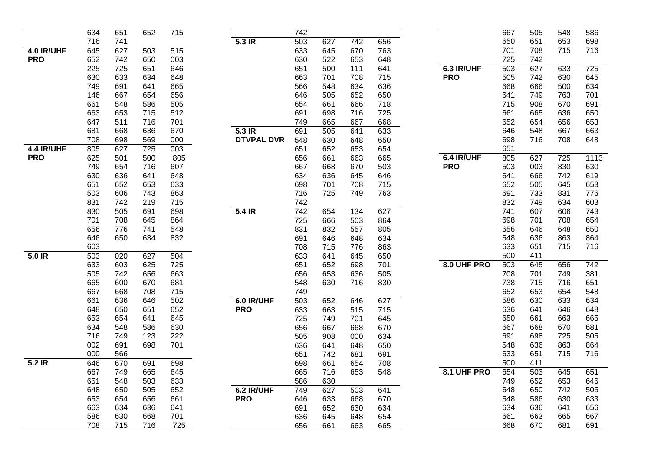|            | 634 | 651 | 652              | 715 |                   | 742 |     |                  |     |             | 667 | 505 | 548 | 586  |
|------------|-----|-----|------------------|-----|-------------------|-----|-----|------------------|-----|-------------|-----|-----|-----|------|
|            | 716 | 741 |                  |     | $5.3$ IR          | 503 | 627 | $\overline{742}$ | 656 |             | 650 | 651 | 653 | 698  |
| 4.0 IR/UHF | 645 | 627 | 503              | 515 |                   | 633 | 645 | 670              | 763 |             | 701 | 708 | 715 | 716  |
| <b>PRO</b> | 652 | 742 | 650              | 003 |                   | 630 | 522 | 653              | 648 |             | 725 | 742 |     |      |
|            | 225 | 725 | 651              | 646 |                   | 651 | 500 | 111              | 641 | 6.3 IR/UHF  | 503 | 627 | 633 | 725  |
|            | 630 | 633 | 634              | 648 |                   | 663 | 701 | 708              | 715 | <b>PRO</b>  | 505 | 742 | 630 | 645  |
|            | 749 | 691 | 641              | 665 |                   | 566 | 548 | 634              | 636 |             | 668 | 666 | 500 | 634  |
|            | 146 | 667 | 654              | 656 |                   | 646 | 505 | 652              | 650 |             | 641 | 749 | 763 | 701  |
|            | 661 | 548 | 586              | 505 |                   | 654 | 661 | 666              | 718 |             | 715 | 908 | 670 | 691  |
|            | 663 | 653 | 715              | 512 |                   | 691 | 698 | 716              | 725 |             | 661 | 665 | 636 | 650  |
|            | 647 | 511 | 716              | 701 |                   | 749 | 665 | 667              | 668 |             | 652 | 654 | 656 | 653  |
|            | 681 | 668 | 636              | 670 | $5.3$ IR          | 691 | 505 | 641              | 633 |             | 646 | 548 | 667 | 663  |
|            | 708 | 698 | 569              | 000 | <b>DTVPAL DVR</b> | 548 | 630 | 648              | 650 |             | 698 | 716 | 708 | 648  |
| 4.4 IR/UHF | 805 | 627 | $\overline{725}$ | 003 |                   | 651 | 652 | 653              | 654 |             | 651 |     |     |      |
| <b>PRO</b> | 625 | 501 | 500              | 805 |                   | 656 | 661 | 663              | 665 | 6.4 IR/UHF  | 805 | 627 | 725 | 1113 |
|            | 749 | 654 | 716              | 607 |                   | 667 | 668 | 670              | 503 | <b>PRO</b>  | 503 | 003 | 830 | 630  |
|            | 630 | 636 | 641              | 648 |                   | 634 | 636 | 645              | 646 |             | 641 | 666 | 742 | 619  |
|            | 651 | 652 | 653              | 633 |                   | 698 | 701 | 708              | 715 |             | 652 | 505 | 645 | 653  |
|            | 503 | 606 | 743              | 863 |                   | 716 | 725 | 749              | 763 |             | 691 | 733 | 831 | 776  |
|            | 831 | 742 | 219              | 715 |                   | 742 |     |                  |     |             | 832 | 749 | 634 | 603  |
|            | 830 | 505 | 691              | 698 | $5.4$ IR          | 742 | 654 | 134              | 627 |             | 741 | 607 | 606 | 743  |
|            | 701 | 708 | 645              | 864 |                   | 725 | 666 | 503              | 864 |             | 698 | 701 | 708 | 654  |
|            | 656 | 776 | 741              | 548 |                   | 831 | 832 | 557              | 805 |             | 656 | 646 | 648 | 650  |
|            | 646 | 650 | 634              | 832 |                   | 691 | 646 | 648              | 634 |             | 548 | 636 | 863 | 864  |
|            | 603 |     |                  |     |                   | 708 | 715 | 776              | 863 |             | 633 | 651 | 715 | 716  |
| 5.0 IR     | 503 | 020 | 627              | 504 |                   | 633 | 641 | 645              | 650 |             | 500 | 411 |     |      |
|            | 633 | 603 | 625              | 725 |                   | 651 | 652 | 698              | 701 | 8.0 UHF PRO | 503 | 645 | 656 | 742  |
|            | 505 | 742 | 656              | 663 |                   | 656 | 653 | 636              | 505 |             | 708 | 701 | 749 | 381  |
|            | 665 | 600 | 670              | 681 |                   | 548 | 630 | 716              | 830 |             | 738 | 715 | 716 | 651  |
|            | 667 | 668 | 708              | 715 |                   | 749 |     |                  |     |             | 652 | 653 | 654 | 548  |
|            | 661 | 636 | 646              | 502 | 6.0 IR/UHF        | 503 | 652 | 646              | 627 |             | 586 | 630 | 633 | 634  |
|            | 648 | 650 | 651              | 652 | <b>PRO</b>        | 633 | 663 | 515              | 715 |             | 636 | 641 | 646 | 648  |
|            | 653 | 654 | 641              | 645 |                   | 725 | 749 | 701              | 645 |             | 650 | 661 | 663 | 665  |
|            | 634 | 548 | 586              | 630 |                   | 656 | 667 | 668              | 670 |             | 667 | 668 | 670 | 681  |
|            | 716 | 749 | 123              | 222 |                   | 505 | 908 | 000              | 634 |             | 691 | 698 | 725 | 505  |
|            | 002 | 691 | 698              | 701 |                   | 636 | 641 | 648              | 650 |             | 548 | 636 | 863 | 864  |
|            | 000 | 566 |                  |     |                   | 651 | 742 | 681              | 691 |             | 633 | 651 | 715 | 716  |
| 5.2 IR     | 646 | 670 | 691              | 698 |                   | 698 | 661 | 654              | 708 |             | 500 | 411 |     |      |
|            | 667 | 749 | 665              | 645 |                   | 665 | 716 | 653              | 548 | 8.1 UHF PRO | 654 | 503 | 645 | 651  |
|            | 651 | 548 | 503              | 633 |                   | 586 | 630 |                  |     |             | 749 | 652 | 653 | 646  |
|            | 648 | 650 | 505              | 652 | 6.2 IR/UHF        | 749 | 627 | 503              | 641 |             | 648 | 650 | 742 | 505  |
|            | 653 | 654 | 656              | 661 | <b>PRO</b>        | 646 | 633 | 668              | 670 |             | 548 | 586 | 630 | 633  |
|            | 663 | 634 | 636              | 641 |                   | 691 | 652 | 630              | 634 |             | 634 | 636 | 641 | 656  |
|            | 586 | 630 | 668              | 701 |                   | 636 | 645 | 648              | 654 |             | 661 | 663 | 665 | 667  |
|            | 708 | 715 | 716              | 725 |                   | 656 | 661 | 663              | 665 |             | 668 | 670 | 681 | 691  |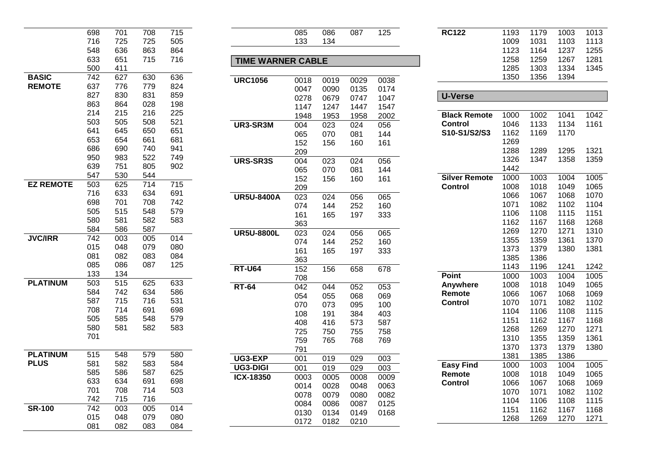|                  | 698        | 701        | 708 | 715 |
|------------------|------------|------------|-----|-----|
|                  | 716        | 725        | 725 | 505 |
|                  | 548        | 636        | 863 | 864 |
|                  | 633        | 651        | 715 | 716 |
|                  | 500        | 411        |     |     |
| <b>BASIC</b>     | 742        | 627        | 630 | 636 |
| <b>REMOTE</b>    | 637        | 776        | 779 | 824 |
|                  | 827        | 830        | 831 | 859 |
|                  | 863        | 864        | 028 | 198 |
|                  | 214        | 215        | 216 | 225 |
|                  | 503        | 505        | 508 | 521 |
|                  | 641        | 645        | 650 | 651 |
|                  | 653        | 654        | 661 | 681 |
|                  | 686        | 690        | 740 | 941 |
|                  | 950        | 983        | 522 | 749 |
|                  | 639        | 751        | 805 | 902 |
|                  | 547        | 530        | 544 |     |
| <b>EZ REMOTE</b> | 503        | 625        | 714 | 715 |
|                  | 716        | 633        | 634 | 691 |
|                  | 698        | 701        | 708 | 742 |
|                  | 505        | 515        | 548 | 579 |
|                  | 580        | 581        | 582 | 583 |
|                  | 584        | 586        | 587 |     |
| <b>JVC/IRR</b>   | 742        | 003        | 005 | 014 |
|                  | 015        | 048        | 079 | 080 |
|                  | 081        | 082        | 083 | 084 |
|                  | 085<br>133 | 086<br>134 | 087 | 125 |
| <b>PLATINUM</b>  | 503        | 515        | 625 | 633 |
|                  | 584        | 742        | 634 | 586 |
|                  | 587        | 715        | 716 | 531 |
|                  | 708        | 714        | 691 | 698 |
|                  | 505        | 585        | 548 | 579 |
|                  | 580        | 581        | 582 | 583 |
|                  | 701        |            |     |     |
|                  |            |            |     |     |
| <b>PLATINUM</b>  | 515        | 548        | 579 | 580 |
| <b>PLUS</b>      | 581        | 582        | 583 | 584 |
|                  | 585        | 586        | 587 | 625 |
|                  | 633        | 634        | 691 | 698 |
|                  | 701        | 708        | 714 | 503 |
|                  | 742        | 715        | 716 |     |
| <b>SR-100</b>    | 742        | 003        | 005 | 014 |
|                  | 015        | 048        | 079 | 080 |
|                  | 081        | 082        | 083 | 084 |

| <b>TIME WARNER CABLE</b> |      |      |      |      |  |  |  |  |  |
|--------------------------|------|------|------|------|--|--|--|--|--|
|                          |      |      |      |      |  |  |  |  |  |
| <b>URC1056</b>           | 0018 | 0019 | 0029 | 0038 |  |  |  |  |  |
|                          | 0047 | 0090 | 0135 | 0174 |  |  |  |  |  |
|                          | 0278 | 0679 | 0747 | 1047 |  |  |  |  |  |
|                          | 1147 | 1247 | 1447 | 1547 |  |  |  |  |  |
|                          | 1948 | 1953 | 1958 | 2002 |  |  |  |  |  |
| UR3-SR3M                 | 004  | 023  | 024  | 056  |  |  |  |  |  |
|                          | 065  | 070  | 081  | 144  |  |  |  |  |  |
|                          | 152  | 156  | 160  | 161  |  |  |  |  |  |
|                          | 209  |      |      |      |  |  |  |  |  |
| <b>URS-SR3S</b>          | 004  | 023  | 024  | 056  |  |  |  |  |  |
|                          | 065  | 070  | 081  | 144  |  |  |  |  |  |
|                          | 152  | 156  | 160  | 161  |  |  |  |  |  |
|                          | 209  |      |      |      |  |  |  |  |  |
| <b>UR5U-8400A</b>        | 023  | 024  | 056  | 065  |  |  |  |  |  |
|                          | 074  | 144  | 252  | 160  |  |  |  |  |  |
|                          | 161  | 165  | 197  | 333  |  |  |  |  |  |
|                          | 363  |      |      |      |  |  |  |  |  |
| <b>UR5U-8800L</b>        | 023  | 024  | 056  | 065  |  |  |  |  |  |
|                          | 074  | 144  | 252  | 160  |  |  |  |  |  |
|                          | 161  | 165  | 197  | 333  |  |  |  |  |  |
|                          | 363  |      |      |      |  |  |  |  |  |
| <b>RT-U64</b>            | 152  | 156  | 658  | 678  |  |  |  |  |  |
|                          | 708  |      |      |      |  |  |  |  |  |
| <b>RT-64</b>             | 042  | 044  | 052  | 053  |  |  |  |  |  |
|                          | 054  | 055  | 068  | 069  |  |  |  |  |  |
|                          | 070  | 073  | 095  | 100  |  |  |  |  |  |
|                          | 108  | 191  | 384  | 403  |  |  |  |  |  |
|                          | 408  | 416  | 573  | 587  |  |  |  |  |  |
|                          | 725  | 750  | 755  | 758  |  |  |  |  |  |
|                          | 759  | 765  | 768  | 769  |  |  |  |  |  |
|                          | 791  |      |      |      |  |  |  |  |  |
| UG3-EXP                  | 001  | 019  | 029  | 003  |  |  |  |  |  |
| <b>UG3-DIGI</b>          | 001  | 019  | 029  | 003  |  |  |  |  |  |
| ICX-18350                | 0003 | 0005 | 0008 | 0009 |  |  |  |  |  |
|                          | 0014 | 0028 | 0048 | 0063 |  |  |  |  |  |
|                          | 0078 | 0079 | 0080 | 0082 |  |  |  |  |  |
|                          | 0084 | 0086 | 0087 | 0125 |  |  |  |  |  |
|                          | 0130 | 0134 | 0149 | 0168 |  |  |  |  |  |
|                          | 0172 | 0182 | 0210 |      |  |  |  |  |  |
|                          |      |      |      |      |  |  |  |  |  |

086

134

125

| <b>RC122</b>         | 1193 | 1179 | 1003 | 1013 |
|----------------------|------|------|------|------|
|                      | 1009 | 1031 | 1103 | 1113 |
|                      | 1123 | 1164 | 1237 | 1255 |
|                      | 1258 | 1259 | 1267 | 1281 |
|                      | 1285 | 1303 | 1334 | 1345 |
|                      | 1350 | 1356 | 1394 |      |
|                      |      |      |      |      |
| U-Verse              |      |      |      |      |
|                      |      |      |      |      |
| <b>Black Remote</b>  | 1000 | 1002 | 1041 | 1042 |
| <b>Control</b>       | 1046 | 1133 | 1134 | 1161 |
| S10-S1/S2/S3         | 1162 | 1169 | 1170 |      |
|                      | 1269 |      |      |      |
|                      | 1288 | 1289 | 1295 | 1321 |
|                      | 1326 | 1347 | 1358 | 1359 |
|                      | 1442 |      |      |      |
| <b>Silver Remote</b> | 1000 | 1003 | 1004 | 1005 |
| <b>Control</b>       | 1008 | 1018 | 1049 | 1065 |
|                      | 1066 | 1067 | 1068 | 1070 |
|                      | 1071 | 1082 | 1102 | 1104 |
|                      | 1106 | 1108 | 1115 | 1151 |
|                      | 1162 | 1167 | 1168 | 1268 |
|                      | 1269 | 1270 | 1271 | 1310 |
|                      | 1355 | 1359 | 1361 | 1370 |
|                      | 1373 | 1379 | 1380 | 1381 |
|                      | 1385 | 1386 |      |      |
|                      | 1143 | 1196 | 1241 | 1242 |
| <b>Point</b>         | 1000 | 1003 | 1004 | 1005 |
| Anywhere             | 1008 | 1018 | 1049 | 1065 |
| Remote               | 1066 | 1067 | 1068 | 1069 |
| <b>Control</b>       | 1070 | 1071 | 1082 | 1102 |
|                      | 1104 | 1106 | 1108 | 1115 |
|                      | 1151 | 1162 | 1167 | 1168 |
|                      | 1268 | 1269 | 1270 | 1271 |
|                      | 1310 | 1355 | 1359 | 1361 |
|                      | 1370 | 1373 | 1379 | 1380 |
|                      | 1381 | 1385 | 1386 |      |
| <b>Easy Find</b>     | 1000 | 1003 | 1004 | 1005 |
| Remote               | 1008 | 1018 | 1049 | 1065 |
| Control              | 1066 | 1067 | 1068 | 1069 |
|                      | 1070 | 1071 | 1082 | 1102 |
|                      | 1104 | 1106 | 1108 | 1115 |
|                      | 1151 | 1162 | 1167 | 1168 |
|                      | 1268 | 1269 | 1270 | 1271 |